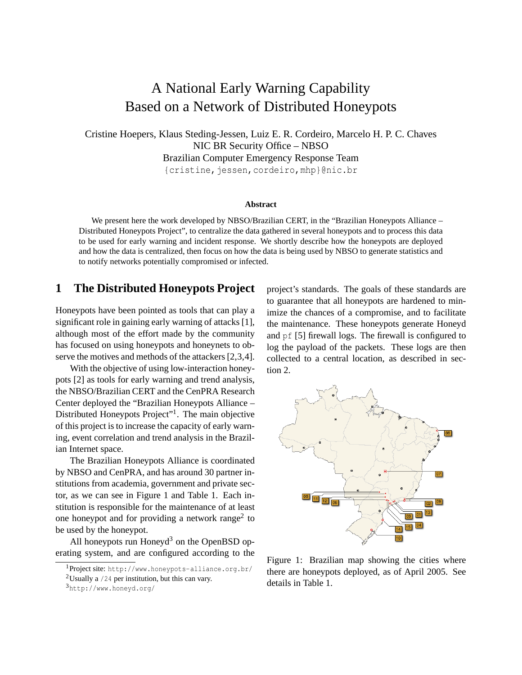# A National Early Warning Capability Based on a Network of Distributed Honeypots

Cristine Hoepers, Klaus Steding-Jessen, Luiz E. R. Cordeiro, Marcelo H. P. C. Chaves NIC BR Security Office – NBSO Brazilian Computer Emergency Response Team {cristine, jessen, cordeiro, mhp}@nic.br

#### **Abstract**

We present here the work developed by NBSO/Brazilian CERT, in the "Brazilian Honeypots Alliance – Distributed Honeypots Project", to centralize the data gathered in several honeypots and to process this data to be used for early warning and incident response. We shortly describe how the honeypots are deployed and how the data is centralized, then focus on how the data is being used by NBSO to generate statistics and to notify networks potentially compromised or infected.

## **1 The Distributed Honeypots Project**

Honeypots have been pointed as tools that can play a significant role in gaining early warning of attacks [\[1\]](#page-3-0), although most of the effort made by the community has focused on using honeypots and honeynets to ob-serve the motives and methods of the attackers [[2](#page-3-1),[3,](#page-3-2)[4\]](#page-3-3).

With the objective of using low-interaction honeypots [[2](#page-3-1)] as tools for early warning and trend analysis, the NBSO/Brazilian CERT and the CenPRA Research Center deployed the "Brazilian Honeypots Alliance – Distributed Honeypots Project"<sup>[1](#page-0-0)</sup>. The main objective of this project is to increase the capacity of early warning, event correlation and trend analysis in the Brazilian Internet space.

The Brazilian Honeypots Alliance is coordinated by NBSO and CenPRA, and has around 30 partner institutions from academia, government and private sector, as we can see in Figure [1](#page-0-1) and Table [1](#page-1-0). Each institution is responsible for the maintenance of at least one honeypot and for providing a network range<sup>[2](#page-0-2)</sup> to be used by the honeypot.

All honeypots run Honeyd<sup>[3](#page-0-3)</sup> on the OpenBSD operating system, and are configured according to the project's standards. The goals of these standards are to guarantee that all honeypots are hardened to minimize the chances of a compromise, and to facilitate the maintenance. These honeypots generate Honeyd and pf [[5](#page-3-4)] firewall logs. The firewall is configured to log the payload of the packets. These logs are then collected to a central location, as described in section [2](#page-1-1).



<span id="page-0-1"></span>Figure 1: Brazilian map showing the cities where there are honeypots deployed, as of April 2005. See details in Table [1.](#page-1-0)

<sup>1</sup>Project site: <http://www.honeypots-alliance.org.br/>

<span id="page-0-0"></span><sup>&</sup>lt;sup>2</sup>Usually a  $/24$  per institution, but this can vary.

<span id="page-0-3"></span><span id="page-0-2"></span><sup>3</sup><http://www.honeyd.org/>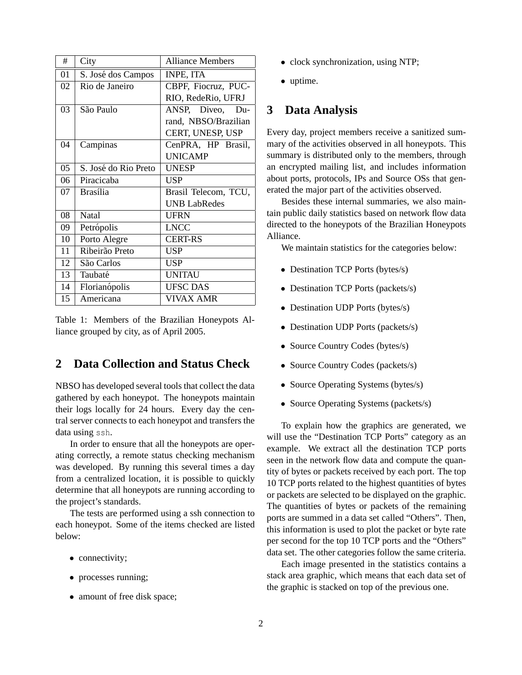| #  | City                 | <b>Alliance Members</b> |
|----|----------------------|-------------------------|
| 01 | S. José dos Campos   | <b>INPE, ITA</b>        |
| 02 | Rio de Janeiro       | CBPF, Fiocruz, PUC-     |
|    |                      | RIO, RedeRio, UFRJ      |
| 03 | São Paulo            | ANSP, Diveo, Du-        |
|    |                      | rand, NBSO/Brazilian    |
|    |                      | CERT, UNESP, USP        |
| 04 | Campinas             | CenPRA, HP Brasil,      |
|    |                      | <b>UNICAMP</b>          |
| 05 | S. José do Rio Preto | <b>UNESP</b>            |
| 06 | Piracicaba           | <b>USP</b>              |
| 07 | <b>Brasília</b>      | Brasil Telecom, TCU,    |
|    |                      | <b>UNB LabRedes</b>     |
| 08 | Natal                | <b>UFRN</b>             |
| 09 | Petrópolis           | <b>LNCC</b>             |
| 10 | Porto Alegre         | <b>CERT-RS</b>          |
| 11 | Ribeirão Preto       | USP                     |
| 12 | São Carlos           | <b>USP</b>              |
| 13 | Taubaté              | <b>UNITAU</b>           |
| 14 | Florianópolis        | <b>UFSC DAS</b>         |
| 15 | Americana            | <b>VIVAX AMR</b>        |

<span id="page-1-0"></span>Table 1: Members of the Brazilian Honeypots Alliance grouped by city, as of April 2005.

# <span id="page-1-1"></span>**2 Data Collection and Status Check**

NBSO has developed several tools that collect the data gathered by each honeypot. The honeypots maintain their logs locally for 24 hours. Every day the central server connects to each honeypot and transfers the data using ssh.

In order to ensure that all the honeypots are operating correctly, a remote status checking mechanism was developed. By running this several times a day from a centralized location, it is possible to quickly determine that all honeypots are running according to the project's standards.

The tests are performed using a ssh connection to each honeypot. Some of the items checked are listed below:

- connectivity;
- processes running;
- amount of free disk space;
- clock synchronization, using NTP;
- uptime.

#### **3 Data Analysis**

Every day, project members receive a sanitized summary of the activities observed in all honeypots. This summary is distributed only to the members, through an encrypted mailing list, and includes information about ports, protocols, IPs and Source OSs that generated the major part of the activities observed.

Besides these internal summaries, we also maintain public daily statistics based on network flow data directed to the honeypots of the Brazilian Honeypots Alliance.

We maintain statistics for the categories below:

- Destination TCP Ports (bytes/s)
- Destination TCP Ports (packets/s)
- Destination UDP Ports (bytes/s)
- Destination UDP Ports (packets/s)
- Source Country Codes (bytes/s)
- Source Country Codes (packets/s)
- Source Operating Systems (bytes/s)
- Source Operating Systems (packets/s)

To explain how the graphics are generated, we will use the "Destination TCP Ports" category as an example. We extract all the destination TCP ports seen in the network flow data and compute the quantity of bytes or packets received by each port. The top 10 TCP ports related to the highest quantities of bytes or packets are selected to be displayed on the graphic. The quantities of bytes or packets of the remaining ports are summed in a data set called "Others". Then, this information is used to plot the packet or byte rate per second for the top 10 TCP ports and the "Others" data set. The other categories follow the same criteria.

Each image presented in the statistics contains a stack area graphic, which means that each data set of the graphic is stacked on top of the previous one.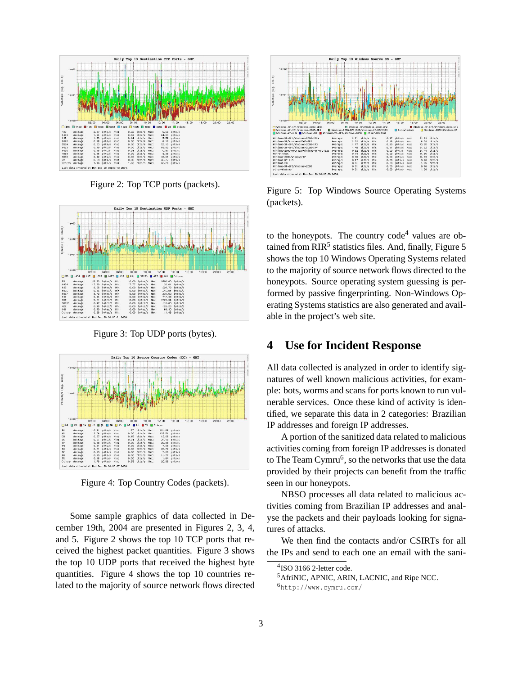

<span id="page-2-0"></span>Figure 2: Top TCP ports (packets).



<span id="page-2-1"></span>Figure 3: Top UDP ports (bytes).



<span id="page-2-2"></span>Figure 4: Top Country Codes (packets).

Some sample graphics of data collected in December 19th, 2004 are presented in Figures [2,](#page-2-0) [3,](#page-2-1) [4](#page-2-2), and [5.](#page-2-3) Figure [2](#page-2-0) shows the top 10 TCP ports that received the highest packet quantities. Figure [3](#page-2-1) shows the top 10 UDP ports that received the highest byte quantities. Figure [4](#page-2-2) shows the top 10 countries related to the majority of source network flows directed



<span id="page-2-3"></span>Figure 5: Top Windows Source Operating Systems (packets).

to the honeypots. The country  $code<sup>4</sup>$  $code<sup>4</sup>$  $code<sup>4</sup>$  values are ob-tained from RIR<sup>[5](#page-2-3)</sup> statistics files. And, finally, Figure 5 shows the top 10 Windows Operating Systems related to the majority of source network flows directed to the honeypots. Source operating system guessing is performed by passive fingerprinting. Non-Windows Operating Systems statistics are also generated and available in the project's web site.

### **4 Use for Incident Response**

All data collected is analyzed in order to identify signatures of well known malicious activities, for example: bots, worms and scans for ports known to run vulnerable services. Once these kind of activity is identified, we separate this data in 2 categories: Brazilian IP addresses and foreign IP addresses.

A portion of the sanitized data related to malicious activities coming from foreign IP addresses is donated to The Team Cymru<sup>[6](#page-2-6)</sup>, so the networks that use the data provided by their projects can benefit from the traffic seen in our honeypots.

NBSO processes all data related to malicious activities coming from Brazilian IP addresses and analyse the packets and their payloads looking for signatures of attacks.

We then find the contacts and/or CSIRTs for all the IPs and send to each one an email with the sani-

<sup>4</sup> ISO 3166 2-letter code.

<span id="page-2-4"></span><sup>5</sup>AfriNIC, APNIC, ARIN, LACNIC, and Ripe NCC.

<span id="page-2-6"></span><span id="page-2-5"></span><sup>6</sup><http://www.cymru.com/>